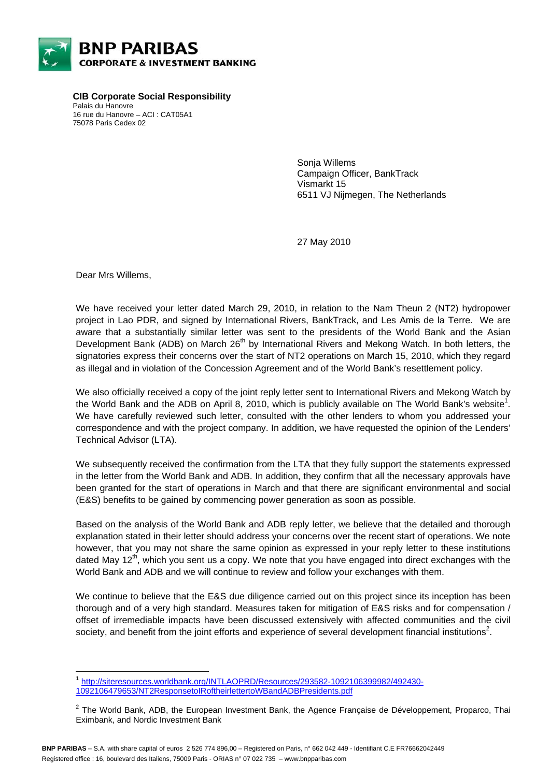

**CIB Corporate Social Responsibility**  Palais du Hanovre 16 rue du Hanovre – ACI : CAT05A1 75078 Paris Cedex 02

> Sonja Willems Campaign Officer, BankTrack Vismarkt 15 6511 VJ Nijmegen, The Netherlands

27 May 2010

Dear Mrs Willems,

l

We have received your letter dated March 29, 2010, in relation to the Nam Theun 2 (NT2) hydropower project in Lao PDR, and signed by International Rivers, BankTrack, and Les Amis de la Terre. We are aware that a substantially similar letter was sent to the presidents of the World Bank and the Asian Development Bank (ADB) on March  $26<sup>th</sup>$  by International Rivers and Mekong Watch. In both letters, the signatories express their concerns over the start of NT2 operations on March 15, 2010, which they regard as illegal and in violation of the Concession Agreement and of the World Bank's resettlement policy.

We also officially received a copy of the joint reply letter sent to International Rivers and Mekong Watch by the World Bank and the ADB on April 8, 2010, which is publicly available on The World Bank's website<sup>1</sup>. We have carefully reviewed such letter, consulted with the other lenders to whom you addressed your correspondence and with the project company. In addition, we have requested the opinion of the Lenders' Technical Advisor (LTA).

We subsequently received the confirmation from the LTA that they fully support the statements expressed in the letter from the World Bank and ADB. In addition, they confirm that all the necessary approvals have been granted for the start of operations in March and that there are significant environmental and social (E&S) benefits to be gained by commencing power generation as soon as possible.

Based on the analysis of the World Bank and ADB reply letter, we believe that the detailed and thorough explanation stated in their letter should address your concerns over the recent start of operations. We note however, that you may not share the same opinion as expressed in your reply letter to these institutions dated May  $12<sup>th</sup>$ , which you sent us a copy. We note that you have engaged into direct exchanges with the World Bank and ADB and we will continue to review and follow your exchanges with them.

We continue to believe that the E&S due diligence carried out on this project since its inception has been thorough and of a very high standard. Measures taken for mitigation of E&S risks and for compensation / offset of irremediable impacts have been discussed extensively with affected communities and the civil society, and benefit from the joint efforts and experience of several development financial institutions<sup>2</sup>.

<sup>1</sup> http://siteresources.worldbank.org/INTLAOPRD/Resources/293582-1092106399982/492430- 1092106479653/NT2ResponsetoIRoftheirlettertoWBandADBPresidents.pdf

 $^2$  The World Bank, ADB, the European Investment Bank, the Agence Française de Développement, Proparco, Thai Eximbank, and Nordic Investment Bank